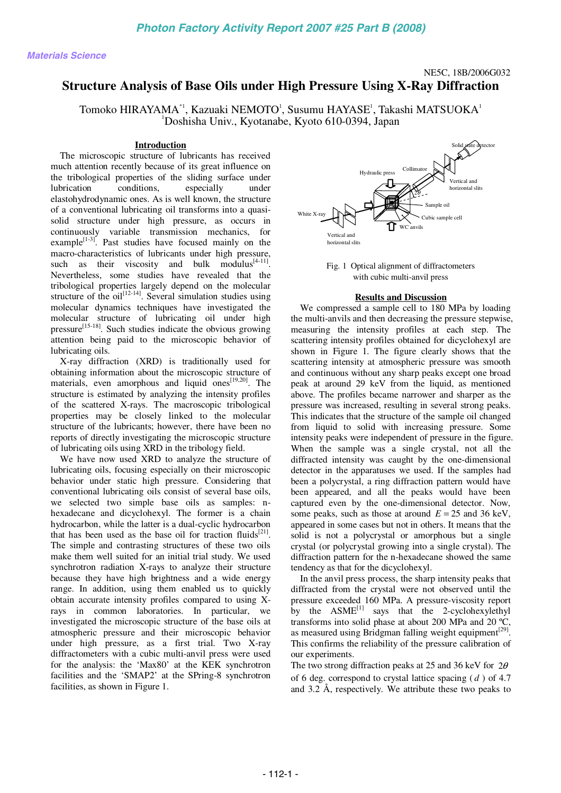# NE5C, 18B/2006G032

# **Structure Analysis of Base Oils under High Pressure Using X-Ray Diffraction**

Tomoko HIRAYAMA $^{\ast}$ ', Kazuaki NEMOTO $^{\text{l}}$ , Susumu HAYASE $^{\text{l}}$ , Takashi MATSUOKA $^{\text{l}}$ 1 Doshisha Univ., Kyotanabe, Kyoto 610-0394, Japan

### **Introduction**

The microscopic structure of lubricants has received much attention recently because of its great influence on the tribological properties of the sliding surface under lubrication conditions, especially under elastohydrodynamic ones. As is well known, the structure of a conventional lubricating oil transforms into a quasisolid structure under high pressure, as occurs in continuously variable transmission mechanics, for example $[1-3]$ . Past studies have focused mainly on the macro-characteristics of lubricants under high pressure, such as their viscosity and bulk  $\text{modulus}^{[4-11]}$ . Nevertheless, some studies have revealed that the tribological properties largely depend on the molecular structure of the  $\text{oil}^{[12-14]}$ . Several simulation studies using molecular dynamics techniques have investigated the molecular structure of lubricating oil under high pressure<sup>[15-18]</sup>. Such studies indicate the obvious growing attention being paid to the microscopic behavior of lubricating oils.

X-ray diffraction (XRD) is traditionally used for obtaining information about the microscopic structure of materials, even amorphous and liquid ones $[19,20]$ . The structure is estimated by analyzing the intensity profiles of the scattered X-rays. The macroscopic tribological properties may be closely linked to the molecular structure of the lubricants; however, there have been no reports of directly investigating the microscopic structure of lubricating oils using XRD in the tribology field.

We have now used XRD to analyze the structure of lubricating oils, focusing especially on their microscopic behavior under static high pressure. Considering that conventional lubricating oils consist of several base oils, we selected two simple base oils as samples: nhexadecane and dicyclohexyl. The former is a chain hydrocarbon, while the latter is a dual-cyclic hydrocarbon that has been used as the base oil for traction fluids<sup>[21]</sup>. The simple and contrasting structures of these two oils make them well suited for an initial trial study. We used synchrotron radiation X-rays to analyze their structure because they have high brightness and a wide energy range. In addition, using them enabled us to quickly obtain accurate intensity profiles compared to using Xrays in common laboratories. In particular, we investigated the microscopic structure of the base oils at atmospheric pressure and their microscopic behavior under high pressure, as a first trial. Two X-ray diffractometers with a cubic multi-anvil press were used for the analysis: the 'Max80' at the KEK synchrotron facilities and the 'SMAP2' at the SPring-8 synchrotron facilities, as shown in Figure 1. **Example Science And the Control of the Control of the Control of the Control of the Control of the Control of the Control of the Control of the Control of the Control of the Control of the Control of the Control of the C** 



Fig. 1 Optical alignment of diffractometers with cubic multi-anvil press

## **Results and Discussion**

We compressed a sample cell to 180 MPa by loading the multi-anvils and then decreasing the pressure stepwise, measuring the intensity profiles at each step. The scattering intensity profiles obtained for dicyclohexyl are shown in Figure 1. The figure clearly shows that the scattering intensity at atmospheric pressure was smooth and continuous without any sharp peaks except one broad peak at around 29 keV from the liquid, as mentioned above. The profiles became narrower and sharper as the pressure was increased, resulting in several strong peaks. This indicates that the structure of the sample oil changed from liquid to solid with increasing pressure. Some intensity peaks were independent of pressure in the figure. When the sample was a single crystal, not all the diffracted intensity was caught by the one-dimensional detector in the apparatuses we used. If the samples had been a polycrystal, a ring diffraction pattern would have been appeared, and all the peaks would have been captured even by the one-dimensional detector. Now, some peaks, such as those at around  $E = 25$  and 36 keV, appeared in some cases but not in others. It means that the solid is not a polycrystal or amorphous but a single crystal (or polycrystal growing into a single crystal). The diffraction pattern for the n-hexadecane showed the same tendency as that for the dicyclohexyl.

In the anvil press process, the sharp intensity peaks that diffracted from the crystal were not observed until the pressure exceeded 160 MPa. A pressure-viscosity report by the  $ASME^{[1]}$  says that the 2-cyclohexylethyl transforms into solid phase at about 200 MPa and 20 ºC, as measured using Bridgman falling weight equipment<sup>[29]</sup>. This confirms the reliability of the pressure calibration of our experiments.

The two strong diffraction peaks at 25 and 36 keV for  $2\theta$ of 6 deg. correspond to crystal lattice spacing ( *d* ) of 4.7 and 3.2 Å, respectively. We attribute these two peaks to